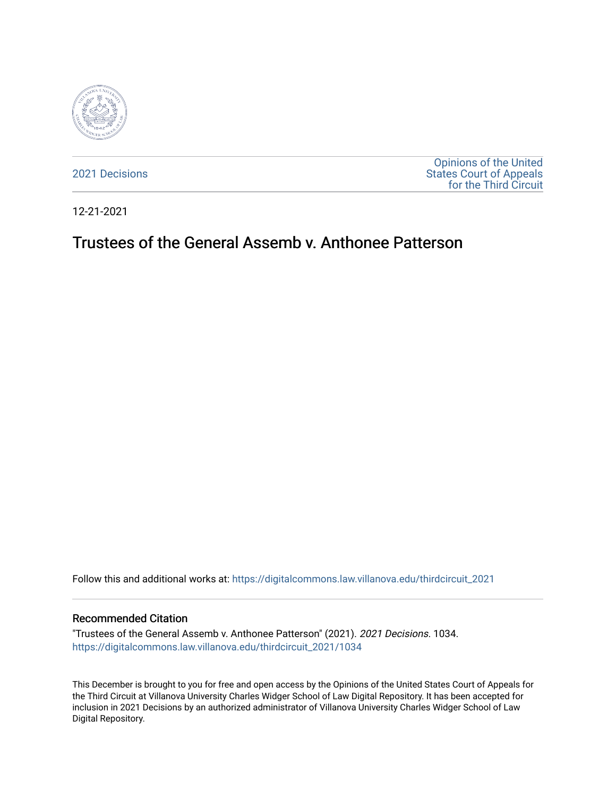

[2021 Decisions](https://digitalcommons.law.villanova.edu/thirdcircuit_2021)

[Opinions of the United](https://digitalcommons.law.villanova.edu/thirdcircuit)  [States Court of Appeals](https://digitalcommons.law.villanova.edu/thirdcircuit)  [for the Third Circuit](https://digitalcommons.law.villanova.edu/thirdcircuit) 

12-21-2021

# Trustees of the General Assemb v. Anthonee Patterson

Follow this and additional works at: [https://digitalcommons.law.villanova.edu/thirdcircuit\\_2021](https://digitalcommons.law.villanova.edu/thirdcircuit_2021?utm_source=digitalcommons.law.villanova.edu%2Fthirdcircuit_2021%2F1034&utm_medium=PDF&utm_campaign=PDFCoverPages) 

#### Recommended Citation

"Trustees of the General Assemb v. Anthonee Patterson" (2021). 2021 Decisions. 1034. [https://digitalcommons.law.villanova.edu/thirdcircuit\\_2021/1034](https://digitalcommons.law.villanova.edu/thirdcircuit_2021/1034?utm_source=digitalcommons.law.villanova.edu%2Fthirdcircuit_2021%2F1034&utm_medium=PDF&utm_campaign=PDFCoverPages) 

This December is brought to you for free and open access by the Opinions of the United States Court of Appeals for the Third Circuit at Villanova University Charles Widger School of Law Digital Repository. It has been accepted for inclusion in 2021 Decisions by an authorized administrator of Villanova University Charles Widger School of Law Digital Repository.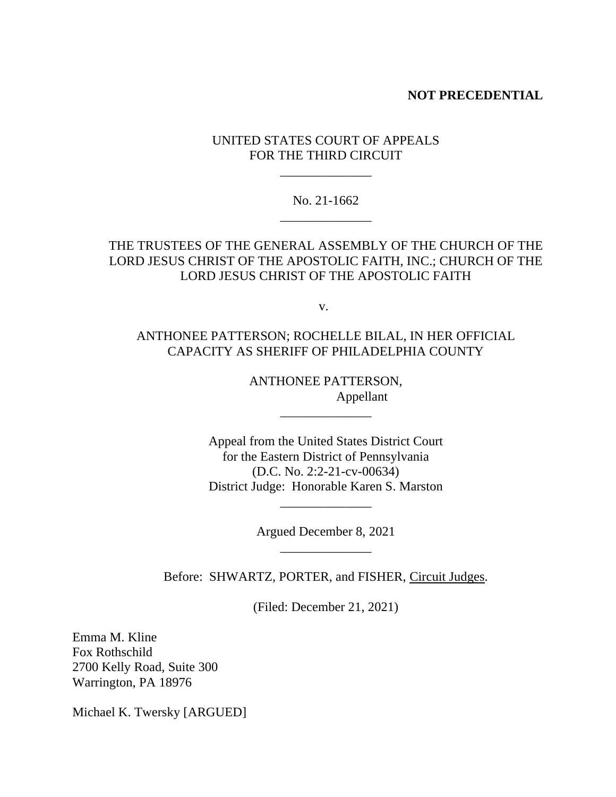### **NOT PRECEDENTIAL**

## UNITED STATES COURT OF APPEALS FOR THE THIRD CIRCUIT

\_\_\_\_\_\_\_\_\_\_\_\_\_\_

## No. 21-1662 \_\_\_\_\_\_\_\_\_\_\_\_\_\_

# THE TRUSTEES OF THE GENERAL ASSEMBLY OF THE CHURCH OF THE LORD JESUS CHRIST OF THE APOSTOLIC FAITH, INC.; CHURCH OF THE LORD JESUS CHRIST OF THE APOSTOLIC FAITH

v.

# ANTHONEE PATTERSON; ROCHELLE BILAL, IN HER OFFICIAL CAPACITY AS SHERIFF OF PHILADELPHIA COUNTY

ANTHONEE PATTERSON, Appellant

\_\_\_\_\_\_\_\_\_\_\_\_\_\_

Appeal from the United States District Court for the Eastern District of Pennsylvania (D.C. No. 2:2-21-cv-00634) District Judge: Honorable Karen S. Marston

> Argued December 8, 2021 \_\_\_\_\_\_\_\_\_\_\_\_\_\_

\_\_\_\_\_\_\_\_\_\_\_\_\_\_

Before: SHWARTZ, PORTER, and FISHER, Circuit Judges.

(Filed: December 21, 2021)

Emma M. Kline Fox Rothschild 2700 Kelly Road, Suite 300 Warrington, PA 18976

Michael K. Twersky [ARGUED]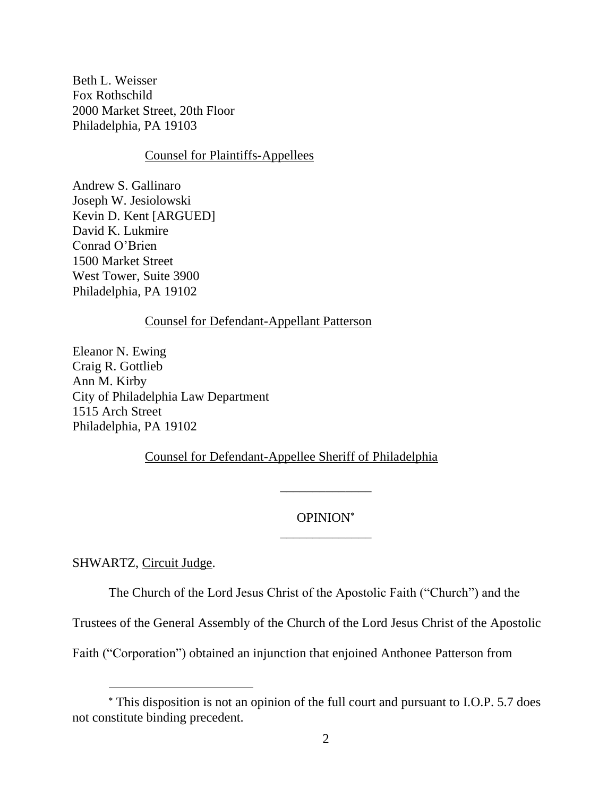Beth L. Weisser Fox Rothschild 2000 Market Street, 20th Floor Philadelphia, PA 19103

### Counsel for Plaintiffs-Appellees

Andrew S. Gallinaro Joseph W. Jesiolowski Kevin D. Kent [ARGUED] David K. Lukmire Conrad O'Brien 1500 Market Street West Tower, Suite 3900 Philadelphia, PA 19102

## Counsel for Defendant-Appellant Patterson

Eleanor N. Ewing Craig R. Gottlieb Ann M. Kirby City of Philadelphia Law Department 1515 Arch Street Philadelphia, PA 19102

Counsel for Defendant-Appellee Sheriff of Philadelphia

# OPINION \_\_\_\_\_\_\_\_\_\_\_\_\_\_

\_\_\_\_\_\_\_\_\_\_\_\_\_\_

SHWARTZ, Circuit Judge.

The Church of the Lord Jesus Christ of the Apostolic Faith ("Church") and the

Trustees of the General Assembly of the Church of the Lord Jesus Christ of the Apostolic

Faith ("Corporation") obtained an injunction that enjoined Anthonee Patterson from

This disposition is not an opinion of the full court and pursuant to I.O.P. 5.7 does not constitute binding precedent.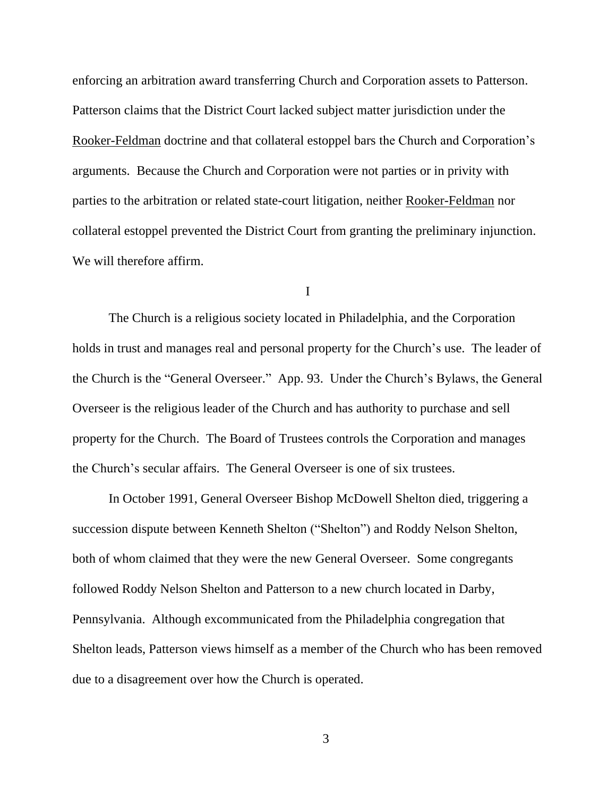enforcing an arbitration award transferring Church and Corporation assets to Patterson. Patterson claims that the District Court lacked subject matter jurisdiction under the Rooker-Feldman doctrine and that collateral estoppel bars the Church and Corporation's arguments. Because the Church and Corporation were not parties or in privity with parties to the arbitration or related state-court litigation, neither Rooker-Feldman nor collateral estoppel prevented the District Court from granting the preliminary injunction. We will therefore affirm.

I

The Church is a religious society located in Philadelphia, and the Corporation holds in trust and manages real and personal property for the Church's use. The leader of the Church is the "General Overseer." App. 93. Under the Church's Bylaws, the General Overseer is the religious leader of the Church and has authority to purchase and sell property for the Church. The Board of Trustees controls the Corporation and manages the Church's secular affairs. The General Overseer is one of six trustees.

In October 1991, General Overseer Bishop McDowell Shelton died, triggering a succession dispute between Kenneth Shelton ("Shelton") and Roddy Nelson Shelton, both of whom claimed that they were the new General Overseer. Some congregants followed Roddy Nelson Shelton and Patterson to a new church located in Darby, Pennsylvania. Although excommunicated from the Philadelphia congregation that Shelton leads, Patterson views himself as a member of the Church who has been removed due to a disagreement over how the Church is operated.

3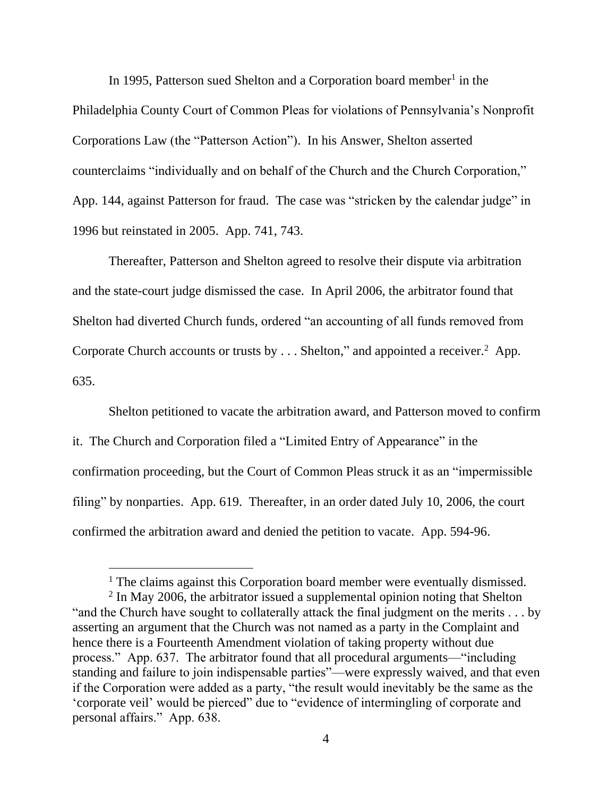In 1995, Patterson sued Shelton and a Corporation board member<sup>1</sup> in the Philadelphia County Court of Common Pleas for violations of Pennsylvania's Nonprofit Corporations Law (the "Patterson Action"). In his Answer, Shelton asserted counterclaims "individually and on behalf of the Church and the Church Corporation," App. 144, against Patterson for fraud. The case was "stricken by the calendar judge" in 1996 but reinstated in 2005. App. 741, 743.

Thereafter, Patterson and Shelton agreed to resolve their dispute via arbitration and the state-court judge dismissed the case. In April 2006, the arbitrator found that Shelton had diverted Church funds, ordered "an accounting of all funds removed from Corporate Church accounts or trusts by  $\dots$  Shelton," and appointed a receiver.<sup>2</sup> App. 635.

Shelton petitioned to vacate the arbitration award, and Patterson moved to confirm it. The Church and Corporation filed a "Limited Entry of Appearance" in the confirmation proceeding, but the Court of Common Pleas struck it as an "impermissible filing" by nonparties. App. 619. Thereafter, in an order dated July 10, 2006, the court confirmed the arbitration award and denied the petition to vacate. App. 594-96.

<sup>&</sup>lt;sup>1</sup> The claims against this Corporation board member were eventually dismissed.

 $2$  In May 2006, the arbitrator issued a supplemental opinion noting that Shelton "and the Church have sought to collaterally attack the final judgment on the merits . . . by asserting an argument that the Church was not named as a party in the Complaint and hence there is a Fourteenth Amendment violation of taking property without due process." App. 637. The arbitrator found that all procedural arguments—"including standing and failure to join indispensable parties"—were expressly waived, and that even if the Corporation were added as a party, "the result would inevitably be the same as the 'corporate veil' would be pierced" due to "evidence of intermingling of corporate and personal affairs." App. 638.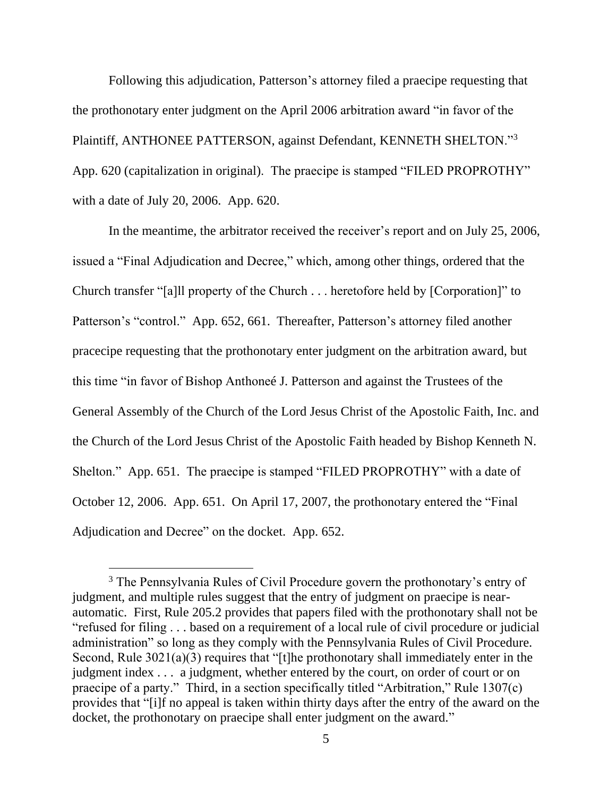Following this adjudication, Patterson's attorney filed a praecipe requesting that the prothonotary enter judgment on the April 2006 arbitration award "in favor of the Plaintiff, ANTHONEE PATTERSON, against Defendant, KENNETH SHELTON."3 App. 620 (capitalization in original). The praecipe is stamped "FILED PROPROTHY" with a date of July 20, 2006. App. 620.

In the meantime, the arbitrator received the receiver's report and on July 25, 2006, issued a "Final Adjudication and Decree," which, among other things, ordered that the Church transfer "[a]ll property of the Church . . . heretofore held by [Corporation]" to Patterson's "control." App. 652, 661. Thereafter, Patterson's attorney filed another pracecipe requesting that the prothonotary enter judgment on the arbitration award, but this time "in favor of Bishop Anthoneé J. Patterson and against the Trustees of the General Assembly of the Church of the Lord Jesus Christ of the Apostolic Faith, Inc. and the Church of the Lord Jesus Christ of the Apostolic Faith headed by Bishop Kenneth N. Shelton." App. 651. The praecipe is stamped "FILED PROPROTHY" with a date of October 12, 2006. App. 651. On April 17, 2007, the prothonotary entered the "Final Adjudication and Decree" on the docket. App. 652.

<sup>&</sup>lt;sup>3</sup> The Pennsylvania Rules of Civil Procedure govern the prothonotary's entry of judgment, and multiple rules suggest that the entry of judgment on praecipe is nearautomatic. First, Rule 205.2 provides that papers filed with the prothonotary shall not be "refused for filing . . . based on a requirement of a local rule of civil procedure or judicial administration" so long as they comply with the Pennsylvania Rules of Civil Procedure. Second, Rule 3021(a)(3) requires that "[t]he prothonotary shall immediately enter in the judgment index . . . a judgment, whether entered by the court, on order of court or on praecipe of a party." Third, in a section specifically titled "Arbitration," Rule 1307(c) provides that "[i]f no appeal is taken within thirty days after the entry of the award on the docket, the prothonotary on praecipe shall enter judgment on the award."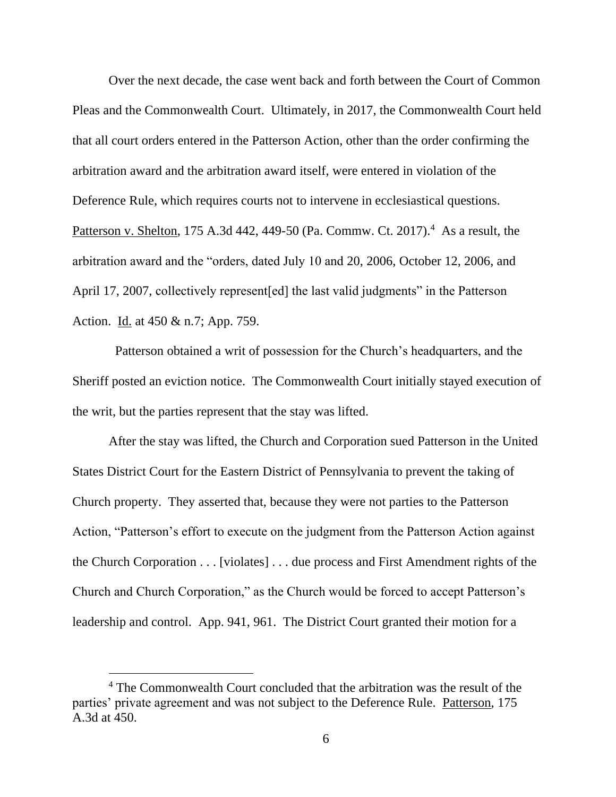Over the next decade, the case went back and forth between the Court of Common Pleas and the Commonwealth Court. Ultimately, in 2017, the Commonwealth Court held that all court orders entered in the Patterson Action, other than the order confirming the arbitration award and the arbitration award itself, were entered in violation of the Deference Rule, which requires courts not to intervene in ecclesiastical questions. Patterson v. Shelton, 175 A.3d 442, 449-50 (Pa. Commw. Ct. 2017).<sup>4</sup> As a result, the arbitration award and the "orders, dated July 10 and 20, 2006, October 12, 2006, and April 17, 2007, collectively represent[ed] the last valid judgments" in the Patterson Action. Id. at 450 & n.7; App. 759.

 Patterson obtained a writ of possession for the Church's headquarters, and the Sheriff posted an eviction notice. The Commonwealth Court initially stayed execution of the writ, but the parties represent that the stay was lifted.

After the stay was lifted, the Church and Corporation sued Patterson in the United States District Court for the Eastern District of Pennsylvania to prevent the taking of Church property. They asserted that, because they were not parties to the Patterson Action, "Patterson's effort to execute on the judgment from the Patterson Action against the Church Corporation . . . [violates] . . . due process and First Amendment rights of the Church and Church Corporation," as the Church would be forced to accept Patterson's leadership and control. App. 941, 961. The District Court granted their motion for a

<sup>&</sup>lt;sup>4</sup> The Commonwealth Court concluded that the arbitration was the result of the parties' private agreement and was not subject to the Deference Rule. Patterson, 175 A.3d at 450.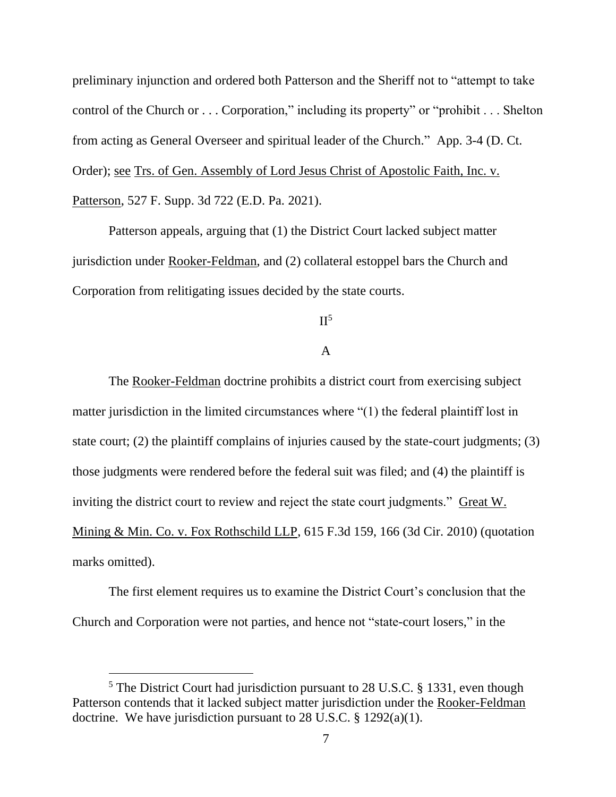preliminary injunction and ordered both Patterson and the Sheriff not to "attempt to take control of the Church or . . . Corporation," including its property" or "prohibit . . . Shelton from acting as General Overseer and spiritual leader of the Church." App. 3-4 (D. Ct. Order); see Trs. of Gen. Assembly of Lord Jesus Christ of Apostolic Faith, Inc. v. Patterson, 527 F. Supp. 3d 722 (E.D. Pa. 2021).

Patterson appeals, arguing that (1) the District Court lacked subject matter jurisdiction under Rooker-Feldman, and (2) collateral estoppel bars the Church and Corporation from relitigating issues decided by the state courts.

## $II<sup>5</sup>$

#### A

The Rooker-Feldman doctrine prohibits a district court from exercising subject matter jurisdiction in the limited circumstances where "(1) the federal plaintiff lost in state court; (2) the plaintiff complains of injuries caused by the state-court judgments; (3) those judgments were rendered before the federal suit was filed; and (4) the plaintiff is inviting the district court to review and reject the state court judgments." Great W. Mining & Min. Co. v. Fox Rothschild LLP, 615 F.3d 159, 166 (3d Cir. 2010) (quotation marks omitted).

The first element requires us to examine the District Court's conclusion that the Church and Corporation were not parties, and hence not "state-court losers," in the

<sup>&</sup>lt;sup>5</sup> The District Court had jurisdiction pursuant to 28 U.S.C. § 1331, even though Patterson contends that it lacked subject matter jurisdiction under the Rooker-Feldman doctrine. We have jurisdiction pursuant to 28 U.S.C.  $\S$  1292(a)(1).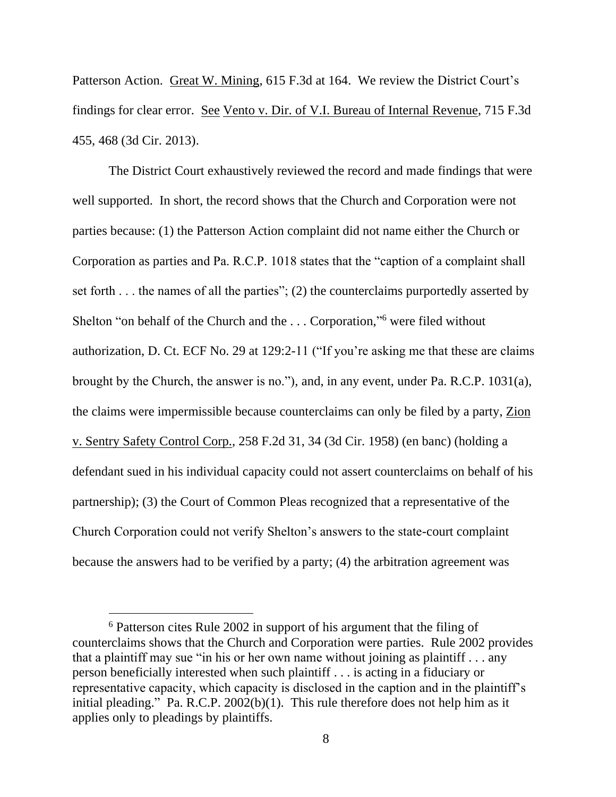Patterson Action. Great W. Mining, 615 F.3d at 164. We review the District Court's findings for clear error. See Vento v. Dir. of V.I. Bureau of Internal Revenue, 715 F.3d 455, 468 (3d Cir. 2013).

The District Court exhaustively reviewed the record and made findings that were well supported. In short, the record shows that the Church and Corporation were not parties because: (1) the Patterson Action complaint did not name either the Church or Corporation as parties and Pa. R.C.P. 1018 states that the "caption of a complaint shall set forth . . . the names of all the parties"; (2) the counterclaims purportedly asserted by Shelton "on behalf of the Church and the ... Corporation,"<sup>6</sup> were filed without authorization, D. Ct. ECF No. 29 at 129:2-11 ("If you're asking me that these are claims brought by the Church, the answer is no."), and, in any event, under Pa. R.C.P. 1031(a), the claims were impermissible because counterclaims can only be filed by a party, Zion v. Sentry Safety Control Corp., 258 F.2d 31, 34 (3d Cir. 1958) (en banc) (holding a defendant sued in his individual capacity could not assert counterclaims on behalf of his partnership); (3) the Court of Common Pleas recognized that a representative of the Church Corporation could not verify Shelton's answers to the state-court complaint because the answers had to be verified by a party; (4) the arbitration agreement was

<sup>6</sup> Patterson cites Rule 2002 in support of his argument that the filing of counterclaims shows that the Church and Corporation were parties. Rule 2002 provides that a plaintiff may sue "in his or her own name without joining as plaintiff . . . any person beneficially interested when such plaintiff . . . is acting in a fiduciary or representative capacity, which capacity is disclosed in the caption and in the plaintiff's initial pleading." Pa. R.C.P. 2002(b)(1). This rule therefore does not help him as it applies only to pleadings by plaintiffs.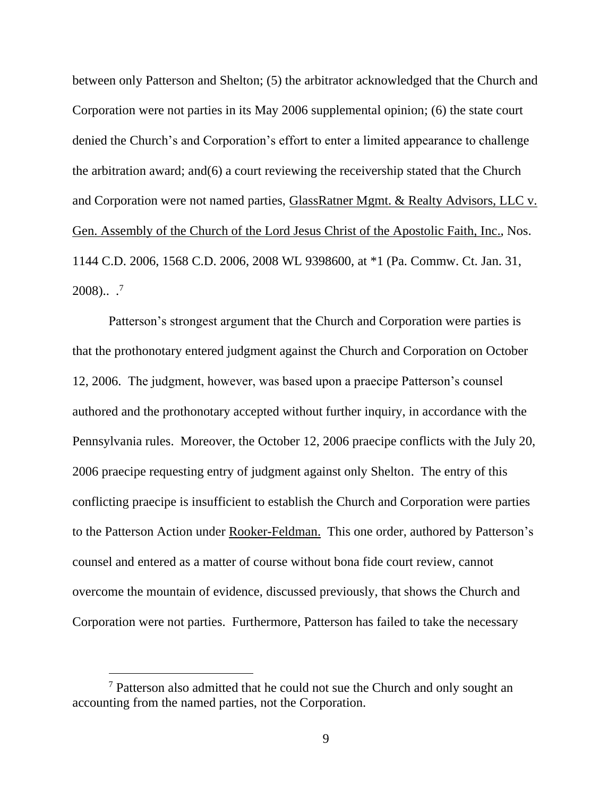between only Patterson and Shelton; (5) the arbitrator acknowledged that the Church and Corporation were not parties in its May 2006 supplemental opinion; (6) the state court denied the Church's and Corporation's effort to enter a limited appearance to challenge the arbitration award; and(6) a court reviewing the receivership stated that the Church and Corporation were not named parties, GlassRatner Mgmt. & Realty Advisors, LLC v. Gen. Assembly of the Church of the Lord Jesus Christ of the Apostolic Faith, Inc., Nos. 1144 C.D. 2006, 1568 C.D. 2006, 2008 WL 9398600, at \*1 (Pa. Commw. Ct. Jan. 31,  $2008$ )..<sup>7</sup>

Patterson's strongest argument that the Church and Corporation were parties is that the prothonotary entered judgment against the Church and Corporation on October 12, 2006. The judgment, however, was based upon a praecipe Patterson's counsel authored and the prothonotary accepted without further inquiry, in accordance with the Pennsylvania rules. Moreover, the October 12, 2006 praecipe conflicts with the July 20, 2006 praecipe requesting entry of judgment against only Shelton. The entry of this conflicting praecipe is insufficient to establish the Church and Corporation were parties to the Patterson Action under Rooker-Feldman. This one order, authored by Patterson's counsel and entered as a matter of course without bona fide court review, cannot overcome the mountain of evidence, discussed previously, that shows the Church and Corporation were not parties. Furthermore, Patterson has failed to take the necessary

<sup>7</sup> Patterson also admitted that he could not sue the Church and only sought an accounting from the named parties, not the Corporation.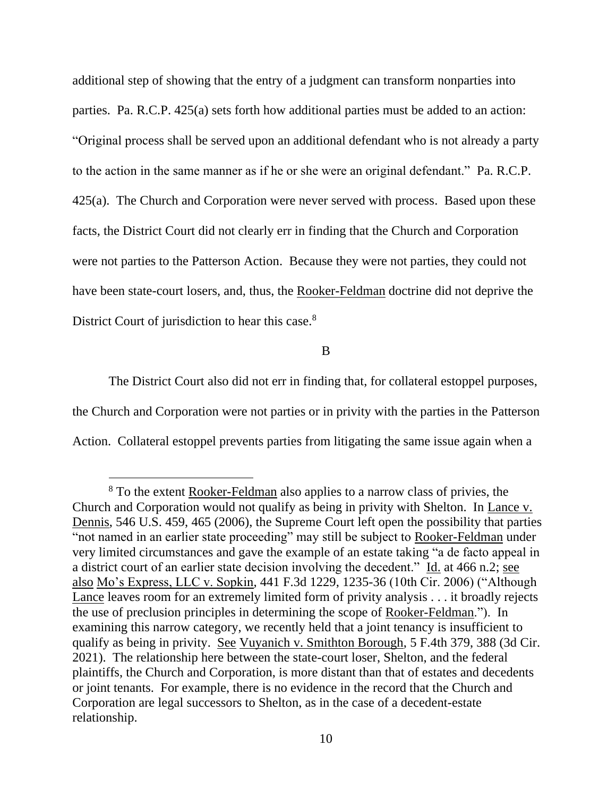additional step of showing that the entry of a judgment can transform nonparties into parties. Pa. R.C.P. 425(a) sets forth how additional parties must be added to an action: "Original process shall be served upon an additional defendant who is not already a party to the action in the same manner as if he or she were an original defendant." Pa. R.C.P. 425(a). The Church and Corporation were never served with process. Based upon these facts, the District Court did not clearly err in finding that the Church and Corporation were not parties to the Patterson Action. Because they were not parties, they could not have been state-court losers, and, thus, the Rooker-Feldman doctrine did not deprive the District Court of jurisdiction to hear this case.<sup>8</sup>

B

The District Court also did not err in finding that, for collateral estoppel purposes, the Church and Corporation were not parties or in privity with the parties in the Patterson Action. Collateral estoppel prevents parties from litigating the same issue again when a

<sup>8</sup> To the extent Rooker-Feldman also applies to a narrow class of privies, the Church and Corporation would not qualify as being in privity with Shelton. In Lance v. Dennis, 546 U.S. 459, 465 (2006), the Supreme Court left open the possibility that parties "not named in an earlier state proceeding" may still be subject to Rooker-Feldman under very limited circumstances and gave the example of an estate taking "a de facto appeal in a district court of an earlier state decision involving the decedent." Id. at 466 n.2; see also Mo's Express, LLC v. Sopkin, 441 F.3d 1229, 1235-36 (10th Cir. 2006) ("Although Lance leaves room for an extremely limited form of privity analysis . . . it broadly rejects the use of preclusion principles in determining the scope of Rooker-Feldman."). In examining this narrow category, we recently held that a joint tenancy is insufficient to qualify as being in privity. See Vuyanich v. Smithton Borough, 5 F.4th 379, 388 (3d Cir. 2021). The relationship here between the state-court loser, Shelton, and the federal plaintiffs, the Church and Corporation, is more distant than that of estates and decedents or joint tenants. For example, there is no evidence in the record that the Church and Corporation are legal successors to Shelton, as in the case of a decedent-estate relationship.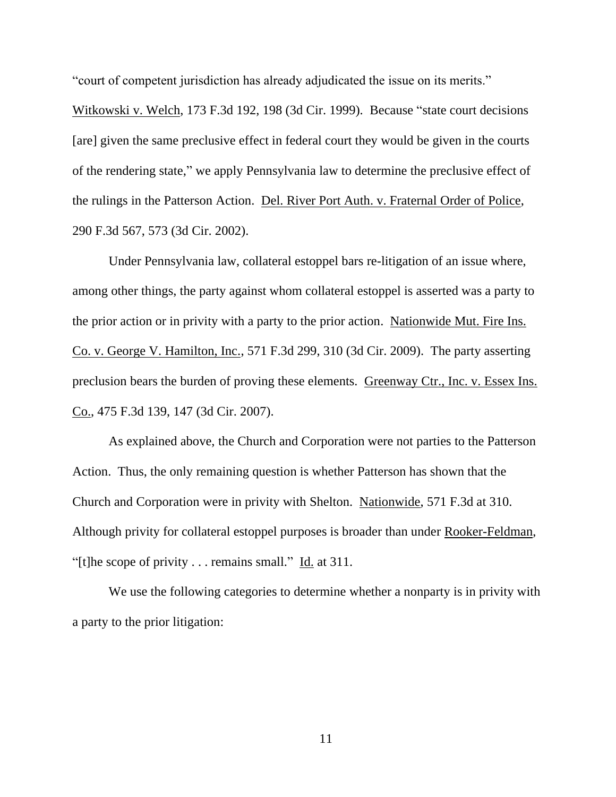"court of competent jurisdiction has already adjudicated the issue on its merits."

Witkowski v. Welch, 173 F.3d 192, 198 (3d Cir. 1999). Because "state court decisions [are] given the same preclusive effect in federal court they would be given in the courts of the rendering state," we apply Pennsylvania law to determine the preclusive effect of the rulings in the Patterson Action. Del. River Port Auth. v. Fraternal Order of Police, 290 F.3d 567, 573 (3d Cir. 2002).

Under Pennsylvania law, collateral estoppel bars re-litigation of an issue where, among other things, the party against whom collateral estoppel is asserted was a party to the prior action or in privity with a party to the prior action. Nationwide Mut. Fire Ins. Co. v. George V. Hamilton, Inc., 571 F.3d 299, 310 (3d Cir. 2009). The party asserting preclusion bears the burden of proving these elements. Greenway Ctr., Inc. v. Essex Ins. Co., 475 F.3d 139, 147 (3d Cir. 2007).

As explained above, the Church and Corporation were not parties to the Patterson Action. Thus, the only remaining question is whether Patterson has shown that the Church and Corporation were in privity with Shelton. Nationwide, 571 F.3d at 310. Although privity for collateral estoppel purposes is broader than under Rooker-Feldman, "[t]he scope of privity . . . remains small." Id. at 311.

We use the following categories to determine whether a nonparty is in privity with a party to the prior litigation: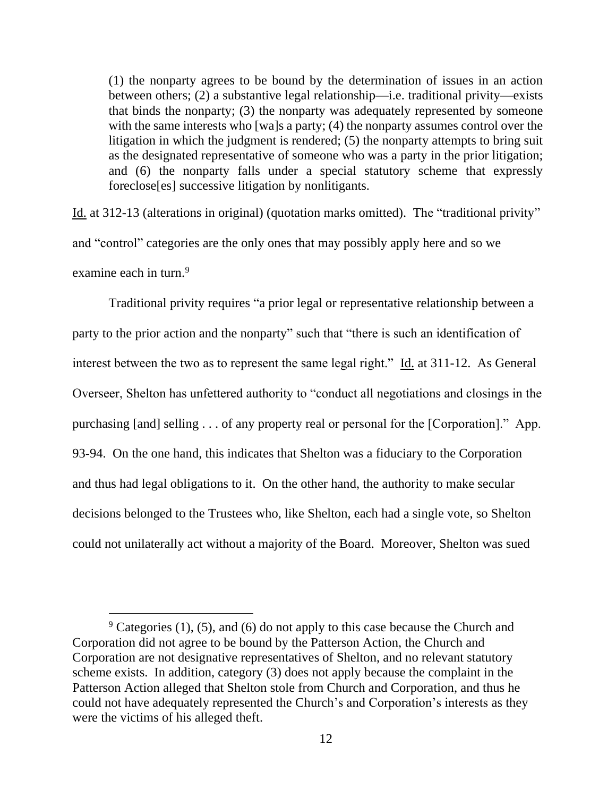(1) the nonparty agrees to be bound by the determination of issues in an action between others; (2) a substantive legal relationship—i.e. traditional privity—exists that binds the nonparty; (3) the nonparty was adequately represented by someone with the same interests who [wa]s a party; (4) the nonparty assumes control over the litigation in which the judgment is rendered; (5) the nonparty attempts to bring suit as the designated representative of someone who was a party in the prior litigation; and (6) the nonparty falls under a special statutory scheme that expressly foreclose[es] successive litigation by nonlitigants.

Id. at 312-13 (alterations in original) (quotation marks omitted). The "traditional privity" and "control" categories are the only ones that may possibly apply here and so we examine each in turn.<sup>9</sup>

Traditional privity requires "a prior legal or representative relationship between a party to the prior action and the nonparty" such that "there is such an identification of interest between the two as to represent the same legal right." Id. at 311-12. As General Overseer, Shelton has unfettered authority to "conduct all negotiations and closings in the purchasing [and] selling . . . of any property real or personal for the [Corporation]." App. 93-94. On the one hand, this indicates that Shelton was a fiduciary to the Corporation and thus had legal obligations to it. On the other hand, the authority to make secular decisions belonged to the Trustees who, like Shelton, each had a single vote, so Shelton could not unilaterally act without a majority of the Board. Moreover, Shelton was sued

 $9$  Categories (1), (5), and (6) do not apply to this case because the Church and Corporation did not agree to be bound by the Patterson Action, the Church and Corporation are not designative representatives of Shelton, and no relevant statutory scheme exists. In addition, category (3) does not apply because the complaint in the Patterson Action alleged that Shelton stole from Church and Corporation, and thus he could not have adequately represented the Church's and Corporation's interests as they were the victims of his alleged theft.